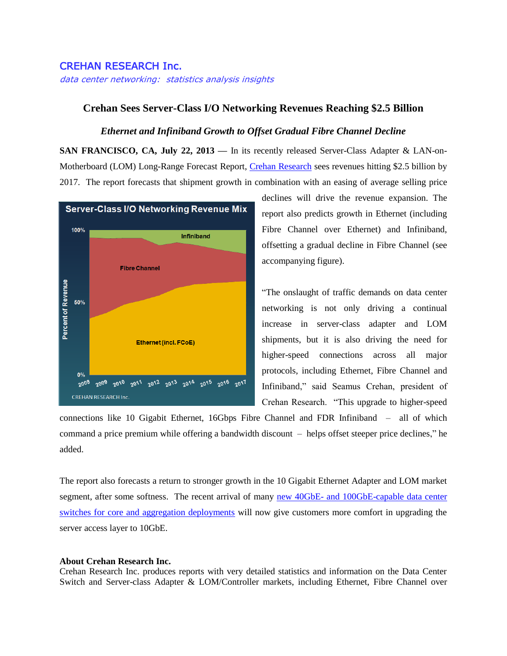## CREHAN RESEARCH Inc.

data center networking: statistics analysis insights

## **Crehan Sees Server-Class I/O Networking Revenues Reaching \$2.5 Billion**

## *Ethernet and Infiniband Growth to Offset Gradual Fibre Channel Decline*

**SAN FRANCISCO, CA, July 22, 2013 —** In its recently released Server-Class Adapter & LAN-on-Motherboard (LOM) Long-Range Forecast Report, [Crehan Research](http://www.crehanresearch.com/) sees revenues hitting \$2.5 billion by 2017. The report forecasts that shipment growth in combination with an easing of average selling price



declines will drive the revenue expansion. The report also predicts growth in Ethernet (including Fibre Channel over Ethernet) and Infiniband, offsetting a gradual decline in Fibre Channel (see accompanying figure).

"The onslaught of traffic demands on data center networking is not only driving a continual increase in server-class adapter and LOM shipments, but it is also driving the need for higher-speed connections across all major protocols, including Ethernet, Fibre Channel and Infiniband," said Seamus Crehan, president of Crehan Research. "This upgrade to higher-speed

connections like 10 Gigabit Ethernet, 16Gbps Fibre Channel and FDR Infiniband – all of which command a price premium while offering a bandwidth discount – helps offset steeper price declines," he added.

The report also forecasts a return to stronger growth in the 10 Gigabit Ethernet Adapter and LOM market segment, after some softness. The recent arrival of many new 40GbE- and 100GbE-capable data center [switches for core and aggregation deployments](http://www.prnewswire.com/news-releases/next-gen-switches-to-propel-data-center-beyond-10-gigabit-era-according-to-crehan-research-212727071.html) will now give customers more comfort in upgrading the server access layer to 10GbE.

## **About Crehan Research Inc.**

Crehan Research Inc. produces reports with very detailed statistics and information on the Data Center Switch and Server-class Adapter & LOM/Controller markets, including Ethernet, Fibre Channel over